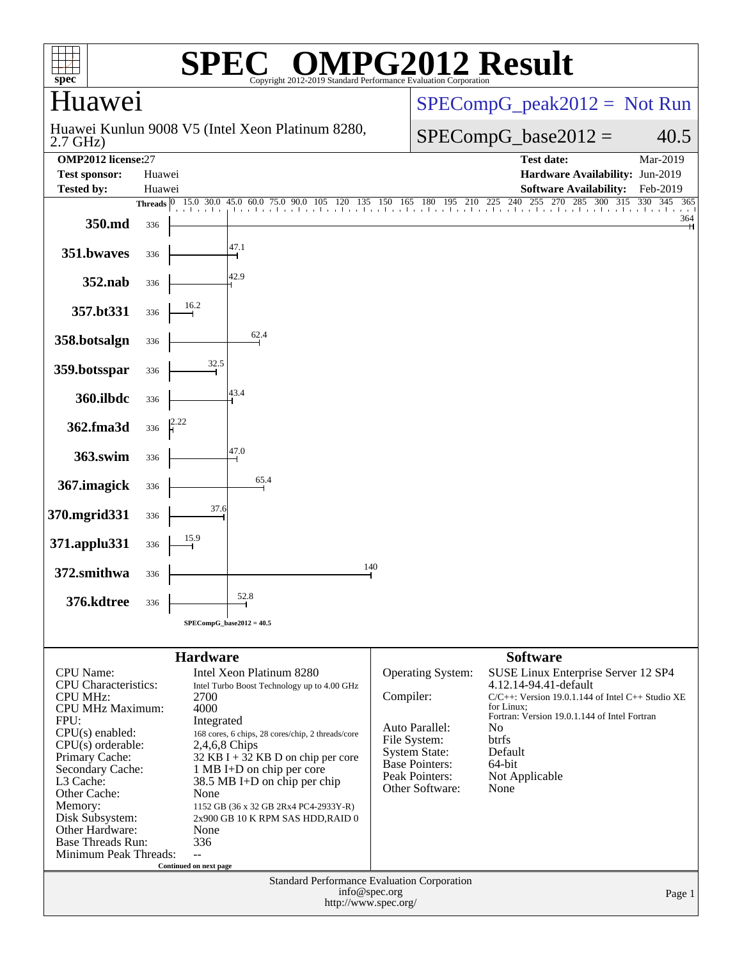| spec <sup>®</sup>                                                 |                                                                        |                                      | $\mathbf{C}^{\mathbb{C}}$<br>Copyright 2012-20    |                               | Standard Performance Evaluation Corporation                      | <b>IPG2012 Result</b>                                                                     |     |  |  |  |  |  |
|-------------------------------------------------------------------|------------------------------------------------------------------------|--------------------------------------|---------------------------------------------------|-------------------------------|------------------------------------------------------------------|-------------------------------------------------------------------------------------------|-----|--|--|--|--|--|
| luawei                                                            |                                                                        |                                      |                                                   | $SPECompG_peak2012 = Not Run$ |                                                                  |                                                                                           |     |  |  |  |  |  |
| $2.7$ GHz)                                                        |                                                                        |                                      | Huawei Kunlun 9008 V5 (Intel Xeon Platinum 8280,  |                               | $SPECompG_base2012 =$<br>40.5                                    |                                                                                           |     |  |  |  |  |  |
| <b>OMP2012</b> license:27<br><b>Test sponsor:</b>                 | Huawei                                                                 |                                      |                                                   |                               | <b>Test date:</b><br>Mar-2019<br>Hardware Availability: Jun-2019 |                                                                                           |     |  |  |  |  |  |
| <b>Tested by:</b>                                                 | Huawei                                                                 |                                      |                                                   |                               | <b>Software Availability:</b><br>Feb-2019                        |                                                                                           |     |  |  |  |  |  |
|                                                                   |                                                                        | Threads $ 0 \t15.0 \t30.0 \t45.0$    |                                                   |                               |                                                                  | 5.0 60.0 75.0 90.0 105 120 135 150 165 180 195 210 225 240 255 270 285 300 315 330<br>345 | 365 |  |  |  |  |  |
| 350.md                                                            | 336                                                                    |                                      |                                                   |                               |                                                                  |                                                                                           | 364 |  |  |  |  |  |
| 351.bwaves                                                        | 336                                                                    |                                      | 47.1                                              |                               |                                                                  |                                                                                           |     |  |  |  |  |  |
| 352.nab                                                           | 336                                                                    |                                      | 42.9                                              |                               |                                                                  |                                                                                           |     |  |  |  |  |  |
| 357.bt331                                                         | 336                                                                    | 16.2                                 |                                                   |                               |                                                                  |                                                                                           |     |  |  |  |  |  |
| 358.botsalgn                                                      | 336                                                                    |                                      | 62.4                                              |                               |                                                                  |                                                                                           |     |  |  |  |  |  |
| 359.botsspar                                                      | 336                                                                    | 32.5                                 |                                                   |                               |                                                                  |                                                                                           |     |  |  |  |  |  |
| 360.ilbdc                                                         | 336                                                                    |                                      | 43.4                                              |                               |                                                                  |                                                                                           |     |  |  |  |  |  |
| 362.fma3d                                                         | 336                                                                    |                                      |                                                   |                               |                                                                  |                                                                                           |     |  |  |  |  |  |
| 363.swim                                                          | 336                                                                    |                                      | 47.0                                              |                               |                                                                  |                                                                                           |     |  |  |  |  |  |
| 367.imagick                                                       | 336                                                                    |                                      | 65.4                                              |                               |                                                                  |                                                                                           |     |  |  |  |  |  |
| 370.mgrid331                                                      | 336                                                                    | 37.6                                 |                                                   |                               |                                                                  |                                                                                           |     |  |  |  |  |  |
| 371.applu331                                                      | 336                                                                    |                                      |                                                   |                               |                                                                  |                                                                                           |     |  |  |  |  |  |
| 372.smithwa                                                       | 336                                                                    |                                      |                                                   | 140                           |                                                                  |                                                                                           |     |  |  |  |  |  |
| 376.kdtree                                                        | 336                                                                    |                                      | 52.8                                              |                               |                                                                  |                                                                                           |     |  |  |  |  |  |
|                                                                   |                                                                        |                                      | $SPECompG_base2012 = 40.5$                        |                               |                                                                  |                                                                                           |     |  |  |  |  |  |
|                                                                   |                                                                        |                                      |                                                   |                               |                                                                  |                                                                                           |     |  |  |  |  |  |
| <b>CPU</b> Name:                                                  |                                                                        | <b>Hardware</b>                      | Intel Xeon Platinum 8280                          |                               | <b>Operating System:</b>                                         | <b>Software</b><br>SUSE Linux Enterprise Server 12 SP4                                    |     |  |  |  |  |  |
| <b>CPU</b> Characteristics:                                       |                                                                        |                                      | Intel Turbo Boost Technology up to 4.00 GHz       | Compiler:                     |                                                                  | 4.12.14-94.41-default<br>$C/C++$ : Version 19.0.1.144 of Intel $C++$ Studio XE            |     |  |  |  |  |  |
| <b>CPU MHz:</b><br>2700<br>CPU MHz Maximum:<br>4000               |                                                                        |                                      |                                                   |                               |                                                                  | for Linux:                                                                                |     |  |  |  |  |  |
| FPU:                                                              |                                                                        | Integrated                           |                                                   |                               | Auto Parallel:                                                   | Fortran: Version 19.0.1.144 of Intel Fortran<br>No                                        |     |  |  |  |  |  |
| CPU(s) enabled:<br>$CPU(s)$ orderable:<br>2,4,6,8 Chips           |                                                                        |                                      | 168 cores, 6 chips, 28 cores/chip, 2 threads/core |                               | File System:                                                     | btrfs                                                                                     |     |  |  |  |  |  |
| Primary Cache:                                                    |                                                                        | $32$ KB I + 32 KB D on chip per core |                                                   | <b>System State:</b>          | Default                                                          |                                                                                           |     |  |  |  |  |  |
| Secondary Cache:                                                  |                                                                        |                                      | 1 MB I+D on chip per core                         |                               | <b>Base Pointers:</b><br>Peak Pointers:                          | 64-bit<br>Not Applicable                                                                  |     |  |  |  |  |  |
| L3 Cache:<br>38.5 MB I+D on chip per chip<br>Other Cache:<br>None |                                                                        |                                      |                                                   |                               | Other Software:                                                  | None                                                                                      |     |  |  |  |  |  |
| Memory:<br>1152 GB (36 x 32 GB 2Rx4 PC4-2933Y-R)                  |                                                                        |                                      |                                                   |                               |                                                                  |                                                                                           |     |  |  |  |  |  |
| Disk Subsystem:                                                   |                                                                        |                                      | 2x900 GB 10 K RPM SAS HDD, RAID 0                 |                               |                                                                  |                                                                                           |     |  |  |  |  |  |
| Other Hardware:<br>None<br><b>Base Threads Run:</b><br>336        |                                                                        |                                      |                                                   |                               |                                                                  |                                                                                           |     |  |  |  |  |  |
| Minimum Peak Threads:                                             |                                                                        | $-$                                  |                                                   |                               |                                                                  |                                                                                           |     |  |  |  |  |  |
|                                                                   |                                                                        | Continued on next page               |                                                   |                               |                                                                  |                                                                                           |     |  |  |  |  |  |
|                                                                   | Standard Performance Evaluation Corporation<br>info@spec.org<br>Page 1 |                                      |                                                   |                               |                                                                  |                                                                                           |     |  |  |  |  |  |
|                                                                   |                                                                        |                                      | http://www.spec.org/                              |                               |                                                                  |                                                                                           |     |  |  |  |  |  |
|                                                                   |                                                                        |                                      |                                                   |                               |                                                                  |                                                                                           |     |  |  |  |  |  |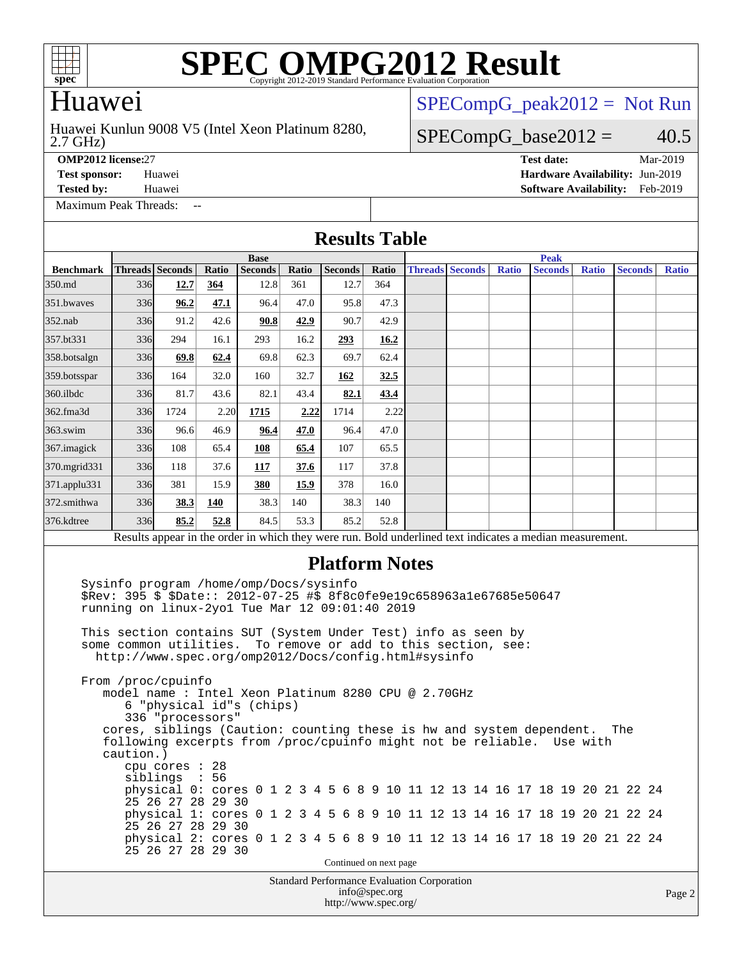

# Huawei

#### 2.7 GHz) Huawei Kunlun 9008 V5 (Intel Xeon Platinum 8280,

[SPECompG\\_peak2012 =](http://www.spec.org/auto/omp2012/Docs/result-fields.html#SPECompGpeak2012) Not Run

### $SPECompG_base2012 = 40.5$  $SPECompG_base2012 = 40.5$

**[OMP2012 license:](http://www.spec.org/auto/omp2012/Docs/result-fields.html#OMP2012license)**27 **[Test date:](http://www.spec.org/auto/omp2012/Docs/result-fields.html#Testdate)** Mar-2019

**[Test sponsor:](http://www.spec.org/auto/omp2012/Docs/result-fields.html#Testsponsor)** Huawei **[Hardware Availability:](http://www.spec.org/auto/omp2012/Docs/result-fields.html#HardwareAvailability)** Jun-2019 **[Tested by:](http://www.spec.org/auto/omp2012/Docs/result-fields.html#Testedby)** Huawei **[Software Availability:](http://www.spec.org/auto/omp2012/Docs/result-fields.html#SoftwareAvailability)** Feb-2019

[Maximum Peak Threads:](http://www.spec.org/auto/omp2012/Docs/result-fields.html#MaximumPeakThreads) --

**[Results Table](http://www.spec.org/auto/omp2012/Docs/result-fields.html#ResultsTable)**

|                                                                                                                                                                                                                                                                                                                                                                                                                                                                                                                                                                                                                                                                                                                                                                                                                                                                                                                                                                                                               | <b>Base</b> |                        |       |                |       |                      |               | <b>Peak</b>            |  |              |  |                |              |  |                |              |  |
|---------------------------------------------------------------------------------------------------------------------------------------------------------------------------------------------------------------------------------------------------------------------------------------------------------------------------------------------------------------------------------------------------------------------------------------------------------------------------------------------------------------------------------------------------------------------------------------------------------------------------------------------------------------------------------------------------------------------------------------------------------------------------------------------------------------------------------------------------------------------------------------------------------------------------------------------------------------------------------------------------------------|-------------|------------------------|-------|----------------|-------|----------------------|---------------|------------------------|--|--------------|--|----------------|--------------|--|----------------|--------------|--|
| <b>Benchmark</b>                                                                                                                                                                                                                                                                                                                                                                                                                                                                                                                                                                                                                                                                                                                                                                                                                                                                                                                                                                                              |             | <b>Threads</b> Seconds | Ratio | <b>Seconds</b> | Ratio | <b>Seconds</b>       | Ratio         | <b>Threads Seconds</b> |  | <b>Ratio</b> |  | <b>Seconds</b> | <b>Ratio</b> |  | <b>Seconds</b> | <b>Ratio</b> |  |
| 350.md                                                                                                                                                                                                                                                                                                                                                                                                                                                                                                                                                                                                                                                                                                                                                                                                                                                                                                                                                                                                        | 336         | 12.7                   | 364   | 12.8           | 361   | 12.7                 | 364           |                        |  |              |  |                |              |  |                |              |  |
| 351.bwaves                                                                                                                                                                                                                                                                                                                                                                                                                                                                                                                                                                                                                                                                                                                                                                                                                                                                                                                                                                                                    | 336         | 96.2                   | 47.1  | 96.4           | 47.0  | 95.8                 | 47.3          |                        |  |              |  |                |              |  |                |              |  |
| $352$ .nab                                                                                                                                                                                                                                                                                                                                                                                                                                                                                                                                                                                                                                                                                                                                                                                                                                                                                                                                                                                                    | 336         | 91.2                   | 42.6  | 90.8           | 42.9  | 90.7                 | 42.9          |                        |  |              |  |                |              |  |                |              |  |
| 357.bt331                                                                                                                                                                                                                                                                                                                                                                                                                                                                                                                                                                                                                                                                                                                                                                                                                                                                                                                                                                                                     | 336         | 294                    | 16.1  | 293            | 16.2  | 293                  | 16.2          |                        |  |              |  |                |              |  |                |              |  |
| 358.botsalgn                                                                                                                                                                                                                                                                                                                                                                                                                                                                                                                                                                                                                                                                                                                                                                                                                                                                                                                                                                                                  | 336         | 69.8                   | 62.4  | 69.8           | 62.3  | 69.7                 | 62.4          |                        |  |              |  |                |              |  |                |              |  |
| 359.botsspar                                                                                                                                                                                                                                                                                                                                                                                                                                                                                                                                                                                                                                                                                                                                                                                                                                                                                                                                                                                                  | 336         | 164                    | 32.0  | 160            | 32.7  | 162                  | 32.5          |                        |  |              |  |                |              |  |                |              |  |
| $360$ .ilbdc                                                                                                                                                                                                                                                                                                                                                                                                                                                                                                                                                                                                                                                                                                                                                                                                                                                                                                                                                                                                  | 336         | 81.7                   | 43.6  | 82.1           | 43.4  | 82.1                 | 43.4          |                        |  |              |  |                |              |  |                |              |  |
| 362.fma3d                                                                                                                                                                                                                                                                                                                                                                                                                                                                                                                                                                                                                                                                                                                                                                                                                                                                                                                                                                                                     | 336         | 1724                   | 2.20  | 1715           | 2.22  | 1714                 | 2.22          |                        |  |              |  |                |              |  |                |              |  |
| $363$ .swim                                                                                                                                                                                                                                                                                                                                                                                                                                                                                                                                                                                                                                                                                                                                                                                                                                                                                                                                                                                                   | 336         | 96.6                   | 46.9  | 96.4           | 47.0  | 96.4                 | 47.0          |                        |  |              |  |                |              |  |                |              |  |
| 367.imagick                                                                                                                                                                                                                                                                                                                                                                                                                                                                                                                                                                                                                                                                                                                                                                                                                                                                                                                                                                                                   | 336         | 108                    | 65.4  | 108            | 65.4  | 107                  | 65.5          |                        |  |              |  |                |              |  |                |              |  |
| 370.mgrid331                                                                                                                                                                                                                                                                                                                                                                                                                                                                                                                                                                                                                                                                                                                                                                                                                                                                                                                                                                                                  | 336         | 118                    | 37.6  | 117            | 37.6  | 117                  | 37.8          |                        |  |              |  |                |              |  |                |              |  |
| $371$ .applu $331$                                                                                                                                                                                                                                                                                                                                                                                                                                                                                                                                                                                                                                                                                                                                                                                                                                                                                                                                                                                            | 336         | 381                    | 15.9  | 380            | 15.9  | 378                  | 16.0          |                        |  |              |  |                |              |  |                |              |  |
| 372.smithwa                                                                                                                                                                                                                                                                                                                                                                                                                                                                                                                                                                                                                                                                                                                                                                                                                                                                                                                                                                                                   | 336         | 38.3                   | 140   | 38.3           | 140   | 38.3                 | 140           |                        |  |              |  |                |              |  |                |              |  |
| 376.kdtree                                                                                                                                                                                                                                                                                                                                                                                                                                                                                                                                                                                                                                                                                                                                                                                                                                                                                                                                                                                                    | 336         | 85.2                   | 52.8  | 84.5           | 53.3  | 85.2                 | 52.8          |                        |  |              |  |                |              |  |                |              |  |
| Results appear in the order in which they were run. Bold underlined text indicates a median measurement.                                                                                                                                                                                                                                                                                                                                                                                                                                                                                                                                                                                                                                                                                                                                                                                                                                                                                                      |             |                        |       |                |       |                      |               |                        |  |              |  |                |              |  |                |              |  |
| Sysinfo program /home/omp/Docs/sysinfo<br>\$Rev: 395 \$ \$Date:: 2012-07-25 #\$ 8f8c0fe9e19c658963a1e67685e50647<br>running on linux-2yo1 Tue Mar 12 09:01:40 2019<br>This section contains SUT (System Under Test) info as seen by<br>some common utilities.<br>To remove or add to this section, see:<br>http://www.spec.org/omp2012/Docs/config.html#sysinfo<br>From /proc/cpuinfo<br>model name : Intel Xeon Platinum 8280 CPU @ 2.70GHz<br>6 "physical id"s (chips)<br>336 "processors"<br>cores, siblings (Caution: counting these is hw and system dependent.<br>The<br>following excerpts from /proc/cpuinfo might not be reliable. Use with<br>caution.)<br>cpu cores : 28<br>siblings : 56<br>physical 0: cores 0 1 2 3 4 5 6 8 9 10 11 12 13 14 16 17 18 19 20 21 22 24<br>25 26 27 28 29 30<br>physical 1: cores 0 1 2 3 4 5 6 8 9 10 11 12 13 14 16 17 18 19 20 21 22 24<br>25 26 27 28 29 30<br>physical 2: cores 0 1 2 3 4 5 6 8 9 10 11 12 13 14 16 17 18 19 20 21 22 24<br>25 26 27 28 29 30 |             |                        |       |                |       |                      |               |                        |  |              |  |                |              |  |                |              |  |
| Continued on next page<br><b>Standard Performance Evaluation Corporation</b>                                                                                                                                                                                                                                                                                                                                                                                                                                                                                                                                                                                                                                                                                                                                                                                                                                                                                                                                  |             |                        |       |                |       |                      |               |                        |  |              |  |                |              |  |                |              |  |
|                                                                                                                                                                                                                                                                                                                                                                                                                                                                                                                                                                                                                                                                                                                                                                                                                                                                                                                                                                                                               |             |                        |       |                |       | http://www.spec.org/ | info@spec.org |                        |  |              |  |                |              |  |                | Page 2       |  |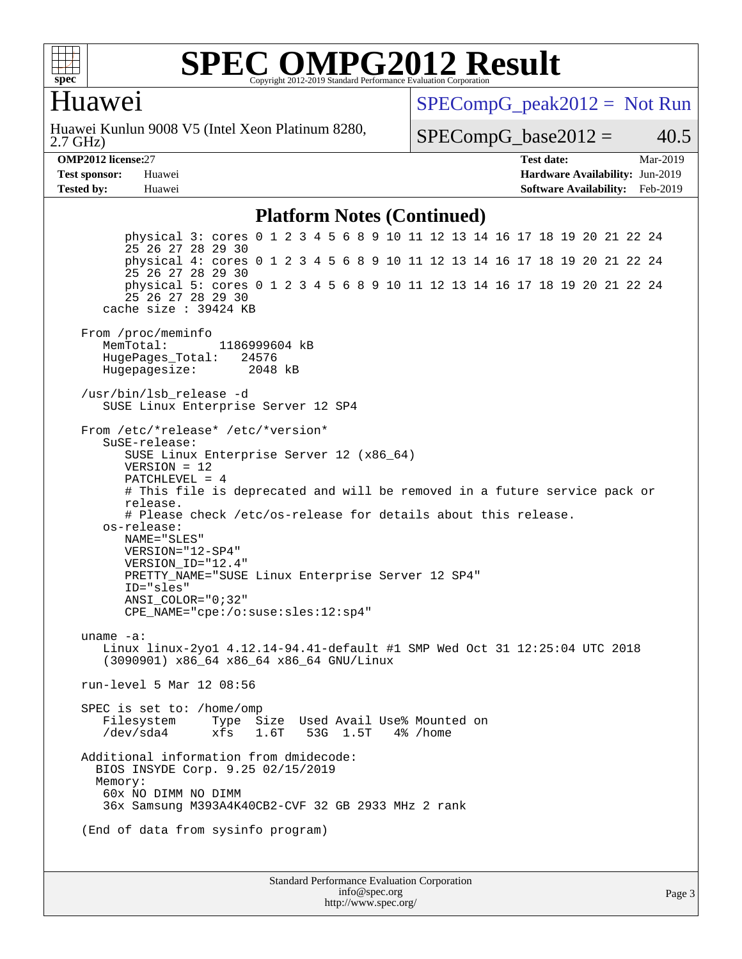

### Huawei

2.7 GHz) Huawei Kunlun 9008 V5 (Intel Xeon Platinum 8280,  $SPECompG_peak2012 = Not Run$  $SPECompG_peak2012 = Not Run$ 

 $SPECompG_base2012 = 40.5$  $SPECompG_base2012 = 40.5$ 

**[Tested by:](http://www.spec.org/auto/omp2012/Docs/result-fields.html#Testedby)** Huawei **[Software Availability:](http://www.spec.org/auto/omp2012/Docs/result-fields.html#SoftwareAvailability)** Feb-2019

**[OMP2012 license:](http://www.spec.org/auto/omp2012/Docs/result-fields.html#OMP2012license)**27 **[Test date:](http://www.spec.org/auto/omp2012/Docs/result-fields.html#Testdate)** Mar-2019 **[Test sponsor:](http://www.spec.org/auto/omp2012/Docs/result-fields.html#Testsponsor)** Huawei **[Hardware Availability:](http://www.spec.org/auto/omp2012/Docs/result-fields.html#HardwareAvailability)** Jun-2019

#### **[Platform Notes \(Continued\)](http://www.spec.org/auto/omp2012/Docs/result-fields.html#PlatformNotes)**

 physical 3: cores 0 1 2 3 4 5 6 8 9 10 11 12 13 14 16 17 18 19 20 21 22 24 25 26 27 28 29 30 physical 4: cores 0 1 2 3 4 5 6 8 9 10 11 12 13 14 16 17 18 19 20 21 22 24 25 26 27 28 29 30 physical 5: cores 0 1 2 3 4 5 6 8 9 10 11 12 13 14 16 17 18 19 20 21 22 24 25 26 27 28 29 30 cache size : 39424 KB From /proc/meminfo MemTotal: 1186999604 kB<br>HugePages Total: 24576 HugePages\_Total: 24576 Hugepagesize: 2048 kB /usr/bin/lsb\_release -d SUSE Linux Enterprise Server 12 SP4 From /etc/\*release\* /etc/\*version\* SuSE-release: SUSE Linux Enterprise Server 12 (x86\_64) VERSION = 12 PATCHLEVEL = 4 # This file is deprecated and will be removed in a future service pack or release. # Please check /etc/os-release for details about this release. os-release: NAME="SLES" VERSION="12-SP4" VERSION\_ID="12.4" PRETTY\_NAME="SUSE Linux Enterprise Server 12 SP4" ID="sles" ANSI\_COLOR="0;32" CPE\_NAME="cpe:/o:suse:sles:12:sp4" uname -a: Linux linux-2yo1 4.12.14-94.41-default #1 SMP Wed Oct 31 12:25:04 UTC 2018 (3090901) x86\_64 x86\_64 x86\_64 GNU/Linux run-level 5 Mar 12 08:56 SPEC is set to: /home/omp Filesystem Type Size Used Avail Use% Mounted on /dev/sda4 xfs 1.6T 53G 1.5T 4% /home Additional information from dmidecode: BIOS INSYDE Corp. 9.25 02/15/2019 Memory: 60x NO DIMM NO DIMM 36x Samsung M393A4K40CB2-CVF 32 GB 2933 MHz 2 rank (End of data from sysinfo program)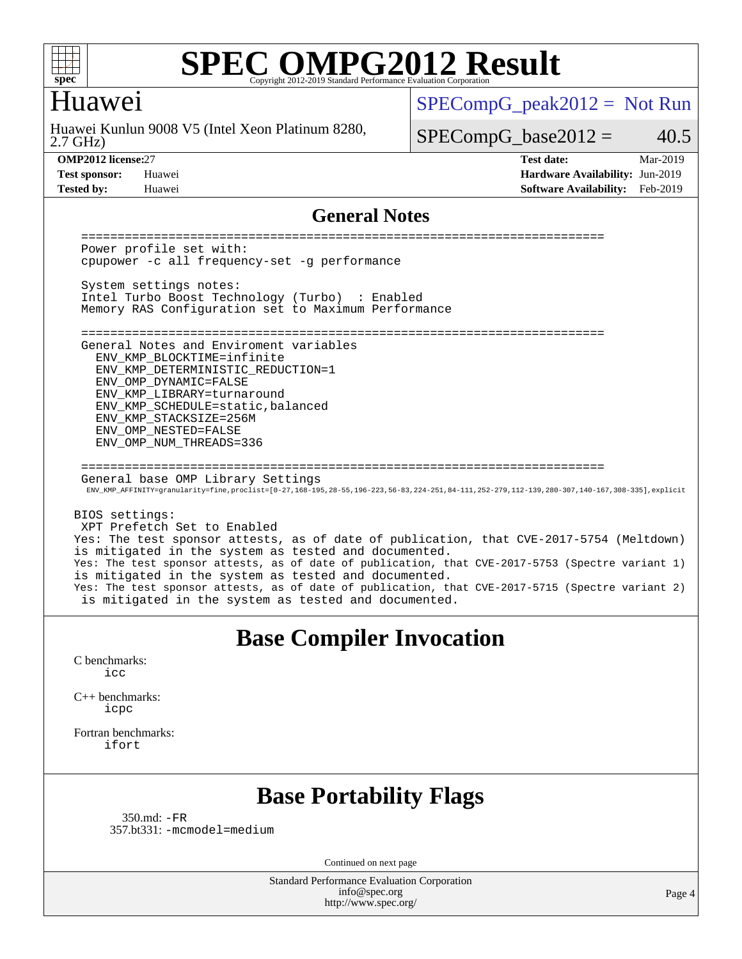

### Huawei

2.7 GHz) Huawei Kunlun 9008 V5 (Intel Xeon Platinum 8280,  $SPECompG_peak2012 = Not Run$  $SPECompG_peak2012 = Not Run$ 

### $SPECompG_base2012 = 40.5$  $SPECompG_base2012 = 40.5$

**[OMP2012 license:](http://www.spec.org/auto/omp2012/Docs/result-fields.html#OMP2012license)**27 **[Test date:](http://www.spec.org/auto/omp2012/Docs/result-fields.html#Testdate)** Mar-2019 **[Test sponsor:](http://www.spec.org/auto/omp2012/Docs/result-fields.html#Testsponsor)** Huawei **[Hardware Availability:](http://www.spec.org/auto/omp2012/Docs/result-fields.html#HardwareAvailability)** Jun-2019 **[Tested by:](http://www.spec.org/auto/omp2012/Docs/result-fields.html#Testedby)** Huawei **[Software Availability:](http://www.spec.org/auto/omp2012/Docs/result-fields.html#SoftwareAvailability)** Feb-2019

#### **[General Notes](http://www.spec.org/auto/omp2012/Docs/result-fields.html#GeneralNotes)**

 ======================================================================== Power profile set with: cpupower -c all frequency-set -g performance System settings notes: Intel Turbo Boost Technology (Turbo) : Enabled Memory RAS Configuration set to Maximum Performance ======================================================================== General Notes and Enviroment variables ENV\_KMP\_BLOCKTIME=infinite ENV\_KMP\_DETERMINISTIC\_REDUCTION=1 ENV\_OMP\_DYNAMIC=FALSE ENV\_KMP\_LIBRARY=turnaround ENV\_KMP\_SCHEDULE=static,balanced ENV\_KMP\_STACKSIZE=256M ENV\_OMP\_NESTED=FALSE ENV\_OMP\_NUM\_THREADS=336 ======================================================================== General base OMP Library Settings ENV\_KMP\_AFFINITY=granularity=fine,proclist=[0-27,168-195,28-55,196-223,56-83,224-251,84-111,252-279,112-139,280-307,140-167,308-335],explicit BIOS settings: XPT Prefetch Set to Enabled Yes: The test sponsor attests, as of date of publication, that CVE-2017-5754 (Meltdown) is mitigated in the system as tested and documented. Yes: The test sponsor attests, as of date of publication, that CVE-2017-5753 (Spectre variant 1) is mitigated in the system as tested and documented. Yes: The test sponsor attests, as of date of publication, that CVE-2017-5715 (Spectre variant 2) is mitigated in the system as tested and documented. **[Base Compiler Invocation](http://www.spec.org/auto/omp2012/Docs/result-fields.html#BaseCompilerInvocation)** [C benchmarks](http://www.spec.org/auto/omp2012/Docs/result-fields.html#Cbenchmarks): [icc](http://www.spec.org/omp2012/results/res2019q2/omp2012-20190313-00170.flags.html#user_CCbase_intel_icc_a87c68a857bc5ec5362391a49d3a37a6) [C++ benchmarks:](http://www.spec.org/auto/omp2012/Docs/result-fields.html#CXXbenchmarks) [icpc](http://www.spec.org/omp2012/results/res2019q2/omp2012-20190313-00170.flags.html#user_CXXbase_intel_icpc_2d899f8d163502b12eb4a60069f80c1c) [Fortran benchmarks](http://www.spec.org/auto/omp2012/Docs/result-fields.html#Fortranbenchmarks):

[ifort](http://www.spec.org/omp2012/results/res2019q2/omp2012-20190313-00170.flags.html#user_FCbase_intel_ifort_8a5e5e06b19a251bdeaf8fdab5d62f20)

## **[Base Portability Flags](http://www.spec.org/auto/omp2012/Docs/result-fields.html#BasePortabilityFlags)**

 350.md: [-FR](http://www.spec.org/omp2012/results/res2019q2/omp2012-20190313-00170.flags.html#user_baseFPORTABILITY350_md_f-FR) 357.bt331: [-mcmodel=medium](http://www.spec.org/omp2012/results/res2019q2/omp2012-20190313-00170.flags.html#user_basePORTABILITY357_bt331_f-mcmodel_3a41622424bdd074c4f0f2d2f224c7e5)

Continued on next page

Standard Performance Evaluation Corporation [info@spec.org](mailto:info@spec.org) <http://www.spec.org/>